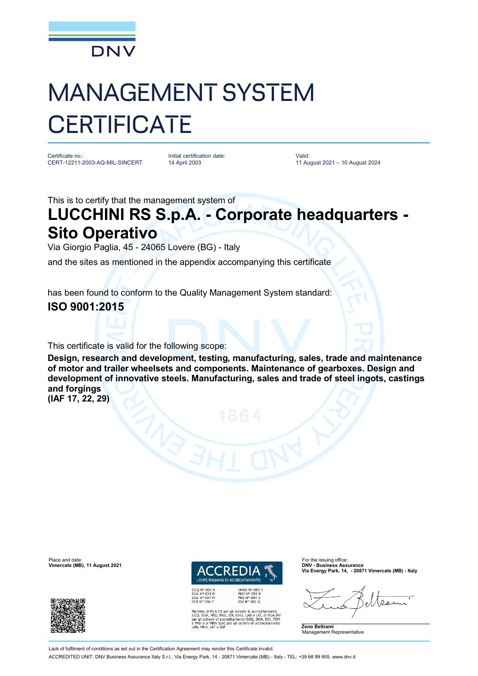

# MANAGEMENT SYSTEM **CERTIFICATE**

Certificate no.: CERT-12211-2003-AQ-MIL-SINCERT Initial certification date: 14 April 2003

Valid: 11 August 2021 – 10 August 2024

This is to certify that the management system of

## **LUCCHINI RS S.p.A. - Corporate headquarters - Sito Operativo**

Via Giorgio Paglia, 45 - 24065 Lovere (BG) - Italy

and the sites as mentioned in the appendix accompanying this certificate

has been found to conform to the Quality Management System standard:

#### **ISO 9001:2015**

This certificate is valid for the following scope:

**Design, research and development, testing, manufacturing, sales, trade and maintenance of motor and trailer wheelsets and components. Maintenance of gearboxes. Design and development of innovative steels. Manufacturing, sales and trade of steel ingots, castings and forgings**

**(IAF 17, 22, 29)**





**EMAS N° 009<br>PRD N° 003 B<br>PRS N° 094 C<br>SSI N° 002 G** Membro di MLA EA per gli schemi di accreditamento<br>SGQ, SGA, PRD, PRS, ISP, GHG, LAB e LAT, di MLA IAF<br>per gli schemi di accreditamento SGQ, SGA, SSI, FSM<br>e PRD e di MRA ILAC per gli schemi di accreditamento<br>LAB, MED, LAT e **Via Energy Park, 14, - 20871 Vimercate (MB) - Italy**

**Zeno Beltrami** Management Representative

Lack of fulfilment of conditions as set out in the Certification Agreement may render this Certificate invalid ACCREDITED UNIT: DNV Business Assurance Italy S.r.l., Via Energy Park, 14 - 20871 Vimercate (MB) - Italy - TEL: +39 68 99 905. [www.dnv.it](http://www.dnv.it)